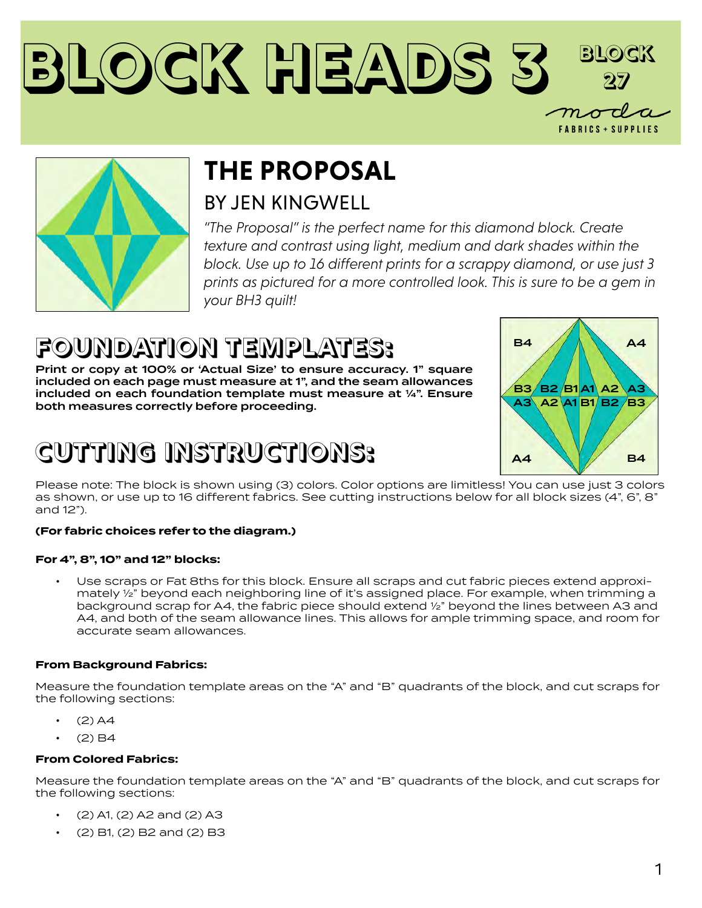## **Block Heads 3 Block 27 FABRICS + SUPPLIES**



## **THE PROPOSAL**

## BY JEN KINGWELL

*"The Proposal" is the perfect name for this diamond block. Create texture and contrast using light, medium and dark shades within the block. Use up to 16 different prints for a scrappy diamond, or use just 3 prints as pictured for a more controlled look. This is sure to be a gem in your BH3 quilt!* 

## **FOUNDATION TEMPLATES:**

Print or copy at 100% or 'Actual Size' to ensure accuracy. 1" square included on each page must measure at 1", and the seam allowances included on each foundation template must measure at ¼". Ensure both measures correctly before proceeding.

## **CUTTING INSTRUCTIONS:**



Please note: The block is shown using (3) colors. Color options are limitless! You can use just 3 colors as shown, or use up to 16 different fabrics. See cutting instructions below for all block sizes (4", 6", 8" and 12").

#### **(For fabric choices refer to the diagram.)**

#### **For 4", 8", 10" and 12" blocks:**

• Use scraps or Fat 8ths for this block. Ensure all scraps and cut fabric pieces extend approximately ½" beyond each neighboring line of it's assigned place. For example, when trimming a background scrap for A4, the fabric piece should extend ½" beyond the lines between A3 and A4, and both of the seam allowance lines. This allows for ample trimming space, and room for accurate seam allowances.

#### **From Background Fabrics:**

Measure the foundation template areas on the "A" and "B" quadrants of the block, and cut scraps for the following sections:

- $(2)$  A4
- $(2)$  B4

#### **From Colored Fabrics:**

Measure the foundation template areas on the "A" and "B" quadrants of the block, and cut scraps for the following sections:

- $(2)$  A1,  $(2)$  A2 and  $(2)$  A3
- $\cdot$  (2) B1, (2) B2 and (2) B3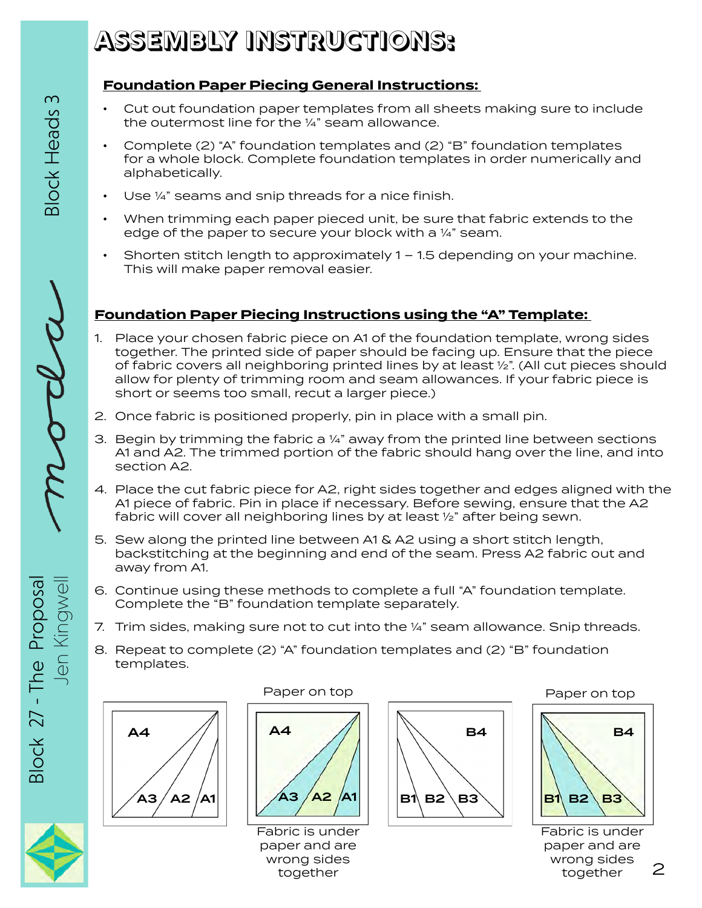## **ASSEMBLY INSTRUCTIONS:**

### **Foundation Paper Piecing General Instructions:**

- Cut out foundation paper templates from all sheets making sure to include the outermost line for the ¼" seam allowance.
- Complete (2) "A" foundation templates and (2) "B" foundation templates for a whole block. Complete foundation templates in order numerically and alphabetically.
- Use 1/4" seams and snip threads for a nice finish.
- When trimming each paper pieced unit, be sure that fabric extends to the edge of the paper to secure your block with a 1/4" seam.
- Shorten stitch length to approximately 1 1.5 depending on your machine. This will make paper removal easier.

### **Foundation Paper Piecing Instructions using the "A" Template:**

- allow for plenty of trimming room and seam allowances. If your fabric piece is 1. Place your chosen fabric piece on A1 of the foundation template, wrong sides together. The printed side of paper should be facing up. Ensure that the piece of fabric covers all neighboring printed lines by at least ½". (All cut pieces should short or seems too small, recut a larger piece.)
- 2. Once fabric is positioned properly, pin in place with a small pin.
- 3. Begin by trimming the fabric a  $\frac{1}{4}$ " away from the printed line between sections A1 and A2. The trimmed portion of the fabric should hang over the line, and into section A2.
- 4. Place the cut fabric piece for A2, right sides together and edges aligned with the A1 piece of fabric. Pin in place if necessary. Before sewing, ensure that the A2 fabric will cover all neighboring lines by at least ½" after being sewn.
- backstitching at the beginning and end of the seam. Press A2 fabric out and 5. Sew along the printed line between A1 & A2 using a short stitch length, away from A1.
- E Complete the "B" foundation template separately. 6. Continue using these methods to complete a full "A" foundation template.
- 7. Trim sides, making sure not to cut into the 1/4" seam allowance. Snip threads.
- 8. Repeat to complete (2) "A" foundation templates and (2) "B" foundation templates.



#### Paper on top



Fabric is under paper and are wrong sides together



#### Paper on top



Fabric is under paper and are wrong sides together

2

**Block Heads 3** 



Block 27 - The Proposal Block 27 - The Proposal Kingwel  $\overline{\theta}$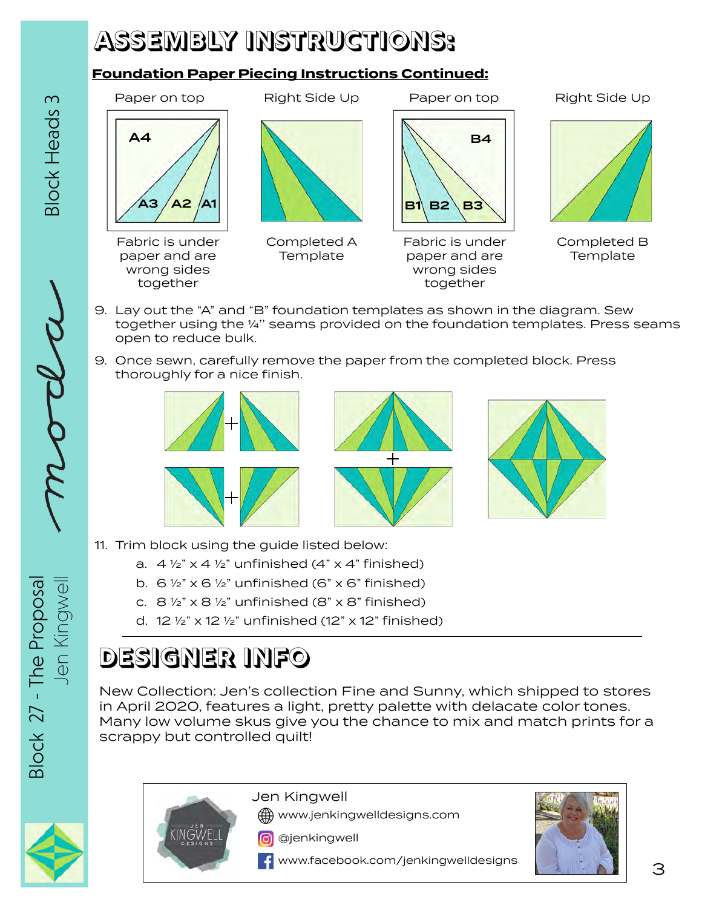## **ASSEMBLY INSTRUCTIONS:**

### **Foundation Paper Piecing Instructions Continued:**



- 9. Lay out the "A" and "B" foundation templates as shown in the diagram. Sew together using the ¼'' seams provided on the foundation templates. Press seams open to reduce bulk.
- 9. Once sewn, carefully remove the paper from the completed block. Press thoroughly for a nice finish.





- E 11. Trim block using the guide listed below:
	- a.  $4 \frac{1}{2}$  x 4  $\frac{1}{2}$  unfinished (4" x 4" finished)
	- b.  $6\frac{1}{2}$  x  $6\frac{1}{2}$  unfinished (6" x 6" finished)
	- c.  $8\frac{1}{2}$  x  $8\frac{1}{2}$  unfinished (8" x 8" finished)
	- d. 12  $\frac{1}{2}$  x 12  $\frac{1}{2}$  unfinished (12" x 12" finished)

## **DESIGNER INFO**

New Collection: Jen's collection Fine and Sunny, which shipped to stores in April 2020, features a light, pretty palette with delacate color tones. Many low volume skus give you the chance to mix and match prints for a scrappy but controlled quilt!





Jen Kingwell

www.jenkingwelldesigns.com

**o** @jenkingwell





Jen Kingwell **Modell Club** 

**Block 27 - The Proposa** Block 27 - The Proposal Jen Kingwel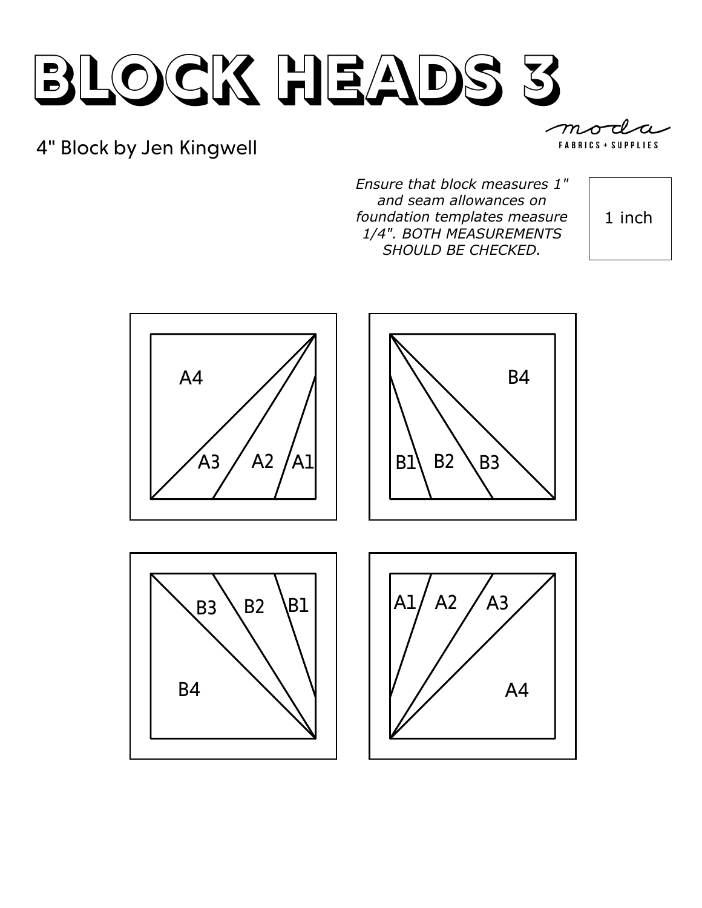## 4" Block by Jen Kingwell

*Ensure that block measures 1" and seam allowances on foundation templates measure 1/4". BOTH MEASUREMENTS SHOULD BE CHECKED.* 

1 inch

**FABRICS + SUPPLIES** 

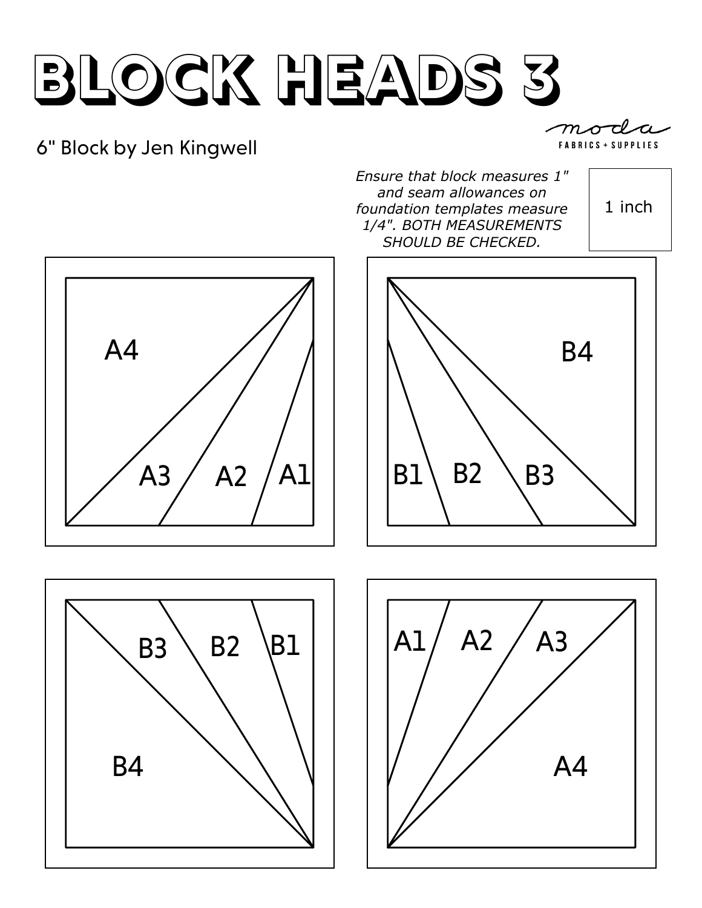## 6" Block by Jen Kingwell

 $m_{\mathscr{A}}$ FABRICS + SUPPLIES

*Ensure that block measures 1" and seam allowances on foundation templates measure 1/4". BOTH MEASUREMENTS SHOULD BE CHECKED.* 









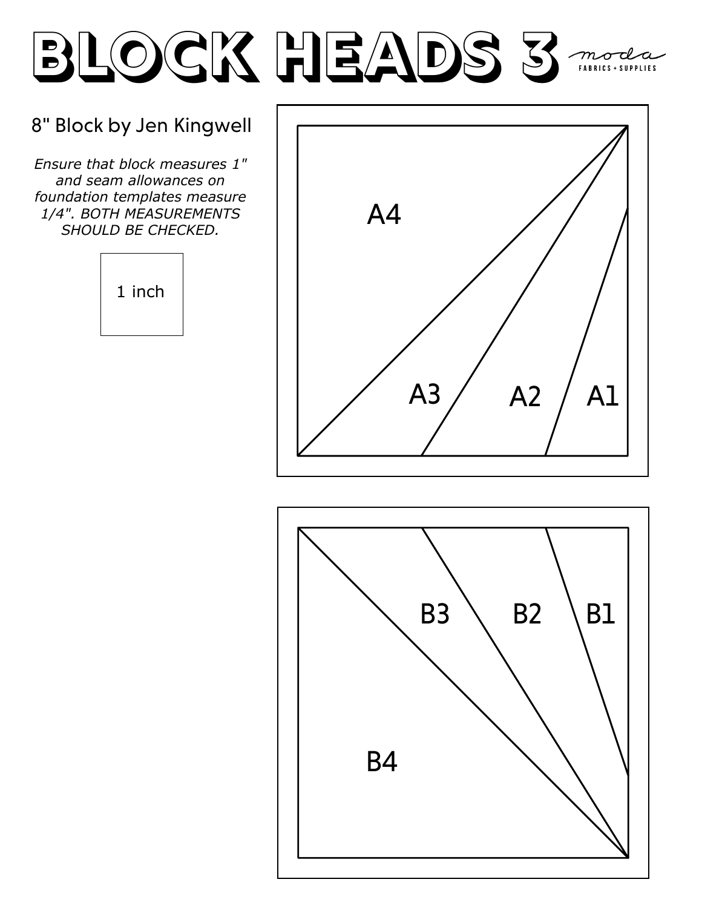### 8" Block by Jen Kingwell

*Ensure that block measures 1" and seam allowances on foundation templates measure 1/4". BOTH MEASUREMENTS SHOULD BE CHECKED.* 





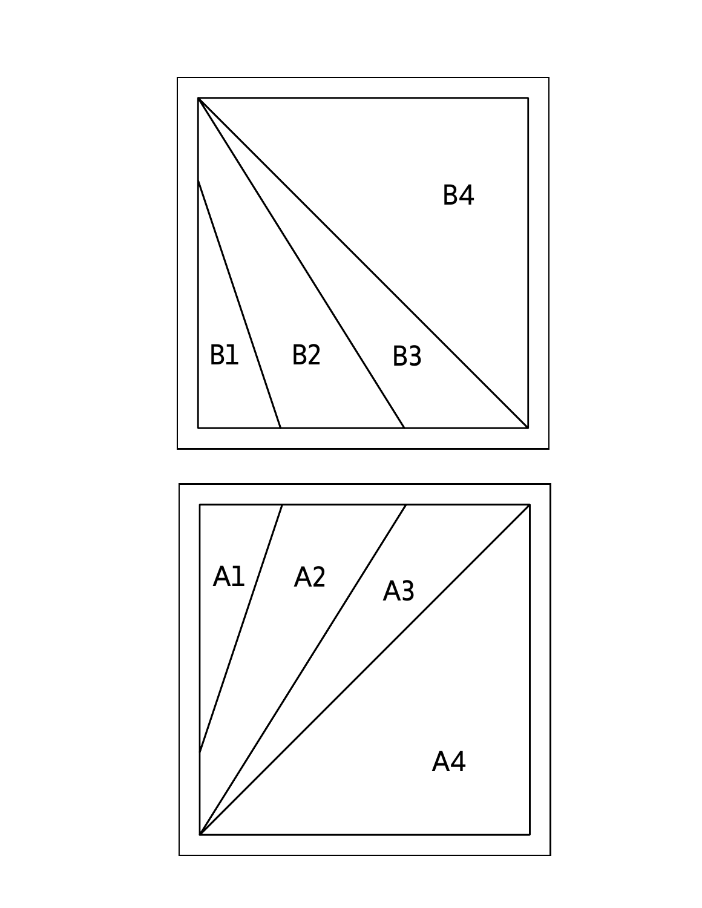

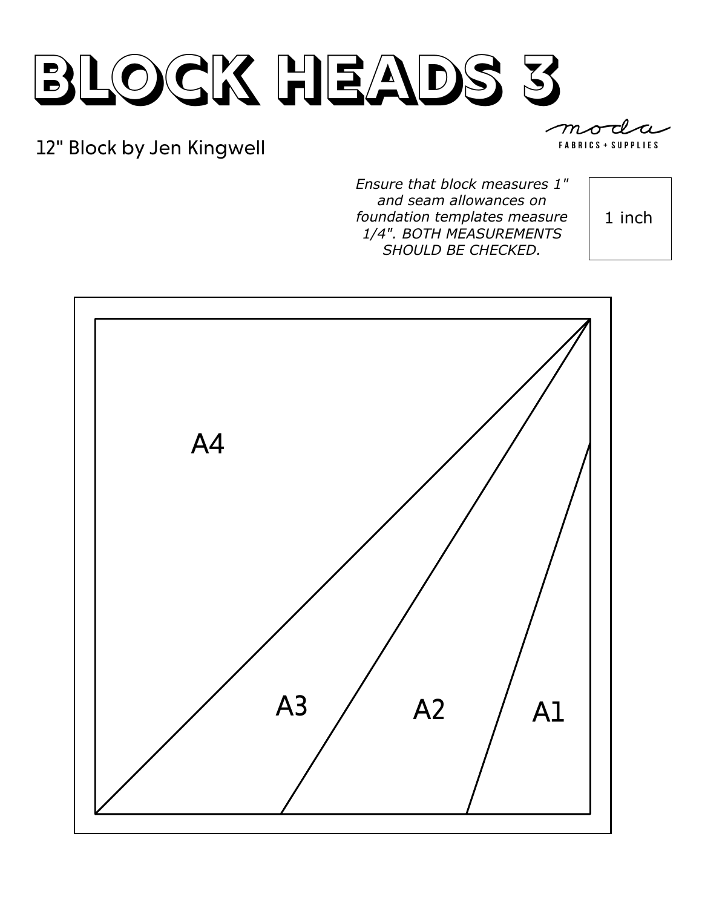## 12" Block by Jen Kingwell

**FABRICS + SUPPLIES** 

*Ensure that block measures 1" and seam allowances on foundation templates measure 1/4". BOTH MEASUREMENTS SHOULD BE CHECKED.* 

1 inch

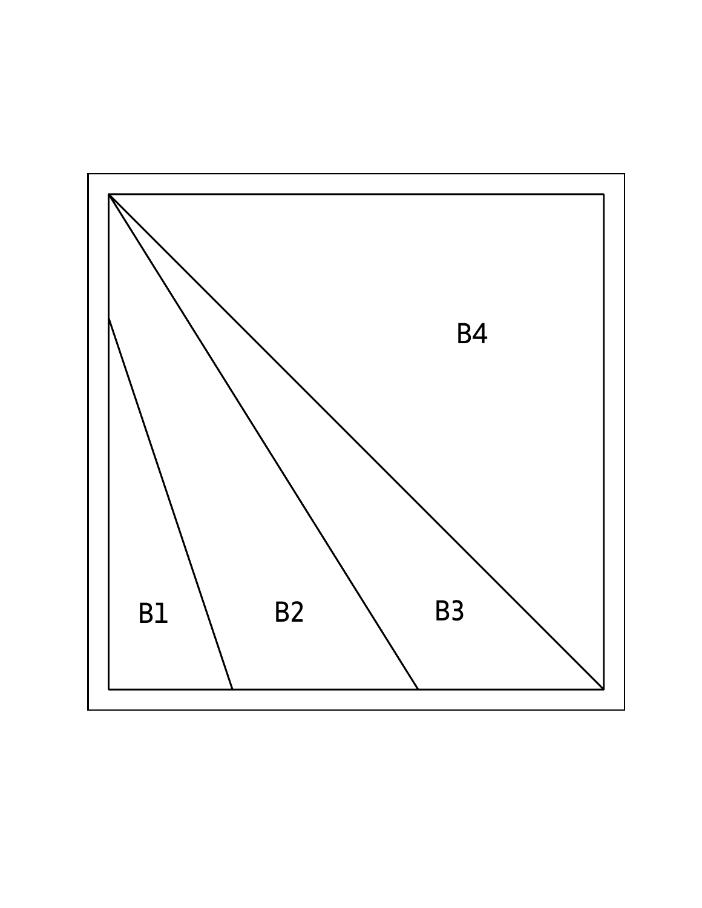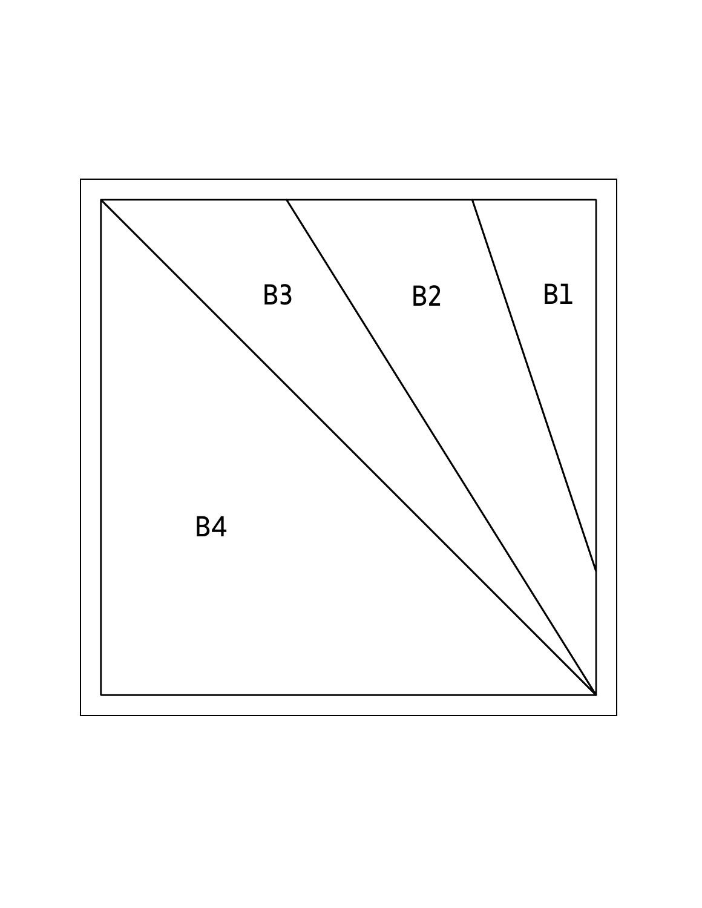